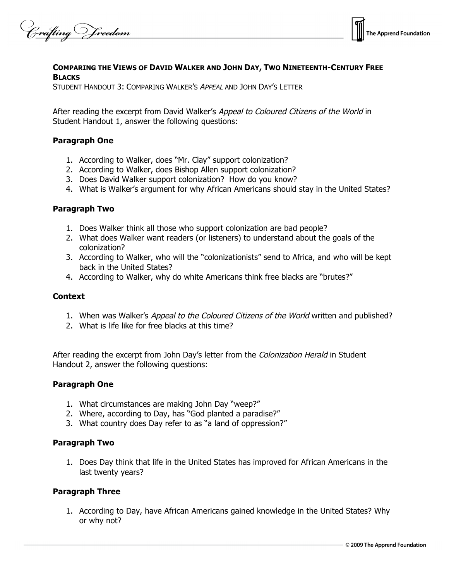Crafting Vreedom



### **COMPARING THE VIEWS OF DAVID WALKER AND JOHN DAY, TWO NINETEENTH-CENTURY FREE BLACKS**

STUDENT HANDOUT 3: COMPARING WALKER'S APPEAL AND JOHN DAY'S LETTER

After reading the excerpt from David Walker's Appeal to Coloured Citizens of the World in Student Handout 1, answer the following questions:

### **Paragraph One**

- 1. According to Walker, does "Mr. Clay" support colonization?
- 2. According to Walker, does Bishop Allen support colonization?
- 3. Does David Walker support colonization? How do you know?
- 4. What is Walker's argument for why African Americans should stay in the United States?

#### **Paragraph Two**

- 1. Does Walker think all those who support colonization are bad people?
- 2. What does Walker want readers (or listeners) to understand about the goals of the colonization?
- 3. According to Walker, who will the "colonizationists" send to Africa, and who will be kept back in the United States?
- 4. According to Walker, why do white Americans think free blacks are "brutes?"

#### **Context**

- 1. When was Walker's Appeal to the Coloured Citizens of the World written and published?
- 2. What is life like for free blacks at this time?

After reading the excerpt from John Day's letter from the Colonization Herald in Student Handout 2, answer the following questions:

#### **Paragraph One**

- 1. What circumstances are making John Day "weep?"
- 2. Where, according to Day, has "God planted a paradise?"
- 3. What country does Day refer to as "a land of oppression?"

#### **Paragraph Two**

1. Does Day think that life in the United States has improved for African Americans in the last twenty years?

## **Paragraph Three**

1. According to Day, have African Americans gained knowledge in the United States? Why or why not?